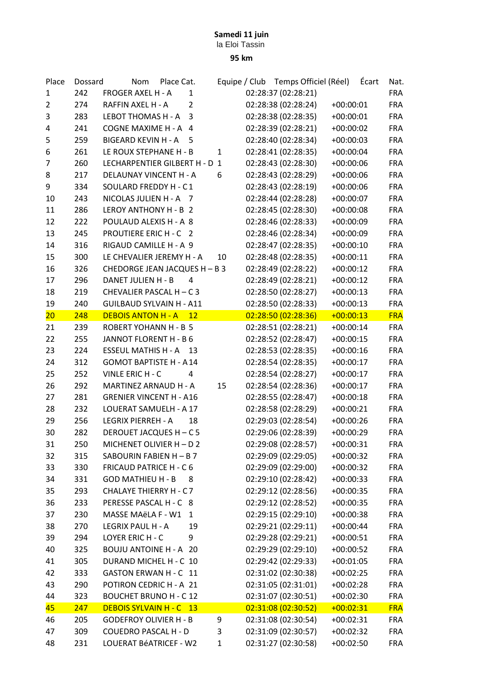## Samedi 11 juin

la Eloi Tassin

95 km

| Place          | Dossard | <b>Nom</b><br>Place Cat.            |    | Equipe / Club Temps Officiel (Réel) |             | Écart | Nat.       |
|----------------|---------|-------------------------------------|----|-------------------------------------|-------------|-------|------------|
| 1              | 242     | FROGER AXEL H - A<br>1              |    | 02:28:37 (02:28:21)                 |             |       | <b>FRA</b> |
| $\overline{2}$ | 274     | $\overline{2}$<br>RAFFIN AXEL H - A |    | 02:28:38 (02:28:24)                 | $+00:00:01$ |       | <b>FRA</b> |
| 3              | 283     | LEBOT THOMAS H - A<br>3             |    | 02:28:38 (02:28:35)                 | $+00:00:01$ |       | <b>FRA</b> |
| 4              | 241     | COGNE MAXIME H - A 4                |    | 02:28:39 (02:28:21)                 | $+00:00:02$ |       | <b>FRA</b> |
| 5              | 259     | BIGEARD KEVIN H - A 5               |    | 02:28:40 (02:28:34)                 | $+00:00:03$ |       | <b>FRA</b> |
| 6              | 261     | LE ROUX STEPHANE H - B              | 1  | 02:28:41 (02:28:35)                 | $+00:00:04$ |       | <b>FRA</b> |
| 7              | 260     | LECHARPENTIER GILBERT H - D 1       |    | 02:28:43 (02:28:30)                 | $+00:00:06$ |       | <b>FRA</b> |
| 8              | 217     | <b>DELAUNAY VINCENT H - A</b>       | 6  | 02:28:43 (02:28:29)                 | $+00:00:06$ |       | <b>FRA</b> |
| 9              | 334     | SOULARD FREDDY H - C1               |    | 02:28:43 (02:28:19)                 | $+00:00:06$ |       | <b>FRA</b> |
| 10             | 243     | NICOLAS JULIEN H - A 7              |    | 02:28:44 (02:28:28)                 | $+00:00:07$ |       | <b>FRA</b> |
| 11             | 286     | LEROY ANTHONY H - B 2               |    | 02:28:45 (02:28:30)                 | $+00:00:08$ |       | <b>FRA</b> |
| 12             | 222     | POULAUD ALEXIS H - A 8              |    | 02:28:46 (02:28:33)                 | $+00:00:09$ |       | <b>FRA</b> |
| 13             | 245     | PROUTIERE ERIC H - C 2              |    | 02:28:46 (02:28:34)                 | $+00:00:09$ |       | <b>FRA</b> |
| 14             | 316     | RIGAUD CAMILLE H - A 9              |    | 02:28:47 (02:28:35)                 | $+00:00:10$ |       | <b>FRA</b> |
| 15             | 300     | LE CHEVALIER JEREMY H - A           | 10 | 02:28:48 (02:28:35)                 | $+00:00:11$ |       | FRA        |
| 16             | 326     | CHEDORGE JEAN JACQUES H - B 3       |    | 02:28:49 (02:28:22)                 | $+00:00:12$ |       | <b>FRA</b> |
| 17             | 296     | DANET JULIEN H - B<br>4             |    | 02:28:49 (02:28:21)                 | $+00:00:12$ |       | <b>FRA</b> |
| 18             | 219     | CHEVALIER PASCAL H - C 3            |    | 02:28:50 (02:28:27)                 | $+00:00:13$ |       | <b>FRA</b> |
| 19             | 240     | <b>GUILBAUD SYLVAIN H - A11</b>     |    | 02:28:50 (02:28:33)                 | $+00:00:13$ |       | <b>FRA</b> |
| 20             | 248     | <b>DEBOIS ANTON H - A</b><br>12     |    | 02:28:50 (02:28:36)                 | $+00:00:13$ |       | <b>FRA</b> |
| 21             | 239     | ROBERT YOHANN H - B 5               |    | 02:28:51 (02:28:21)                 | $+00:00:14$ |       | <b>FRA</b> |
| 22             | 255     | JANNOT FLORENT H - B 6              |    | 02:28:52 (02:28:47)                 | $+00:00:15$ |       | <b>FRA</b> |
| 23             | 224     | ESSEUL MATHIS H - A 13              |    | 02:28:53 (02:28:35)                 | $+00:00:16$ |       | <b>FRA</b> |
| 24             | 312     | <b>GOMOT BAPTISTE H - A14</b>       |    | 02:28:54 (02:28:35)                 | $+00:00:17$ |       | <b>FRA</b> |
| 25             | 252     | VINLE ERIC H - C<br>4               |    | 02:28:54 (02:28:27)                 | $+00:00:17$ |       | <b>FRA</b> |
| 26             | 292     | MARTINEZ ARNAUD H - A               | 15 | 02:28:54 (02:28:36)                 | $+00:00:17$ |       | <b>FRA</b> |
| 27             | 281     | <b>GRENIER VINCENT H - A16</b>      |    | 02:28:55 (02:28:47)                 | $+00:00:18$ |       | <b>FRA</b> |
| 28             | 232     | LOUERAT SAMUELH - A 17              |    | 02:28:58 (02:28:29)                 | $+00:00:21$ |       | <b>FRA</b> |
| 29             | 256     | LEGRIX PIERREH - A<br>18            |    | 02:29:03 (02:28:54)                 | $+00:00:26$ |       | <b>FRA</b> |
| 30             | 282     | DEROUET JACQUES H - C 5             |    | 02:29:06 (02:28:39)                 | $+00:00:29$ |       | <b>FRA</b> |
| 31             | 250     | MICHENET OLIVIER H - D 2            |    | 02:29:08 (02:28:57)                 | $+00:00:31$ |       | <b>FRA</b> |
| 32             | 315     | SABOURIN FABIEN H - B 7             |    | 02:29:09 (02:29:05)                 | $+00:00:32$ |       | <b>FRA</b> |
| 33             | 330     | <b>FRICAUD PATRICE H - C 6</b>      |    | 02:29:09 (02:29:00)                 | $+00:00:32$ |       | <b>FRA</b> |
| 34             | 331     | <b>GOD MATHIEU H - B</b><br>8       |    | 02:29:10 (02:28:42)                 | $+00:00:33$ |       | <b>FRA</b> |
| 35             | 293     | <b>CHALAYE THIERRY H - C7</b>       |    | 02:29:12 (02:28:56)                 | $+00:00:35$ |       | FRA        |
| 36             | 233     | PERESSE PASCAL H - C 8              |    | 02:29:12 (02:28:52)                 | $+00:00:35$ |       | FRA        |
| 37             | 230     | MASSE MAëLA F - W1<br>$\mathbf{1}$  |    | 02:29:15 (02:29:10)                 | $+00:00:38$ |       | <b>FRA</b> |
| 38             | 270     | LEGRIX PAUL H - A<br>19             |    | 02:29:21 (02:29:11)                 | $+00:00:44$ |       | <b>FRA</b> |
| 39             | 294     | LOYER ERIC H - C<br>9               |    | 02:29:28 (02:29:21)                 | $+00:00:51$ |       | FRA        |
| 40             | 325     | <b>BOUJU ANTOINE H - A 20</b>       |    | 02:29:29 (02:29:10)                 | $+00:00:52$ |       | FRA        |
| 41             | 305     | DURAND MICHEL H - C 10              |    | 02:29:42 (02:29:33)                 | $+00:01:05$ |       | FRA        |
| 42             | 333     | GASTON ERWAN H - C 11               |    | 02:31:02 (02:30:38)                 | $+00:02:25$ |       | FRA        |
| 43             | 290     | POTIRON CEDRIC H - A 21             |    | 02:31:05 (02:31:01)                 | $+00:02:28$ |       | FRA        |
| 44             | 323     | <b>BOUCHET BRUNO H - C 12</b>       |    | 02:31:07 (02:30:51)                 | $+00:02:30$ |       | <b>FRA</b> |
| $45\,$         | 247     | <b>DEBOIS SYLVAIN H - C 13</b>      |    | 02:31:08 (02:30:52)                 | $+00:02:31$ |       | <b>FRA</b> |
| 46             | 205     | <b>GODEFROY OLIVIER H - B</b>       | 9  | 02:31:08 (02:30:54)                 | $+00:02:31$ |       | <b>FRA</b> |
| 47             | 309     | <b>COUEDRO PASCAL H - D</b>         | 3  | 02:31:09 (02:30:57)                 | $+00:02:32$ |       | <b>FRA</b> |
| 48             | 231     | LOUERAT BéATRICEF - W2              | 1  | 02:31:27 (02:30:58)                 | $+00:02:50$ |       | <b>FRA</b> |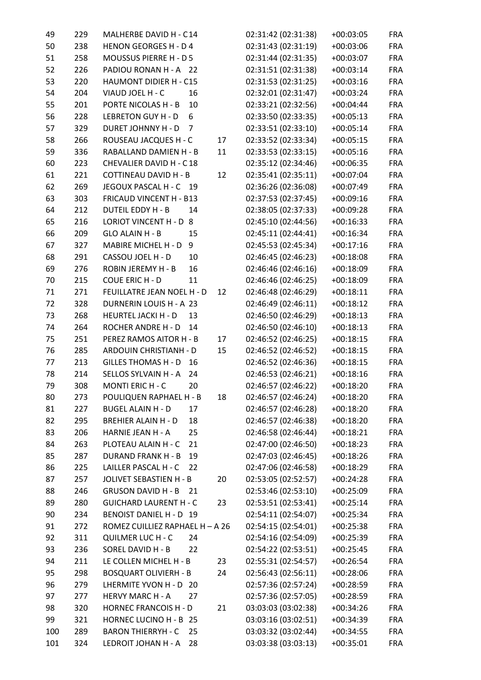| 49  | 229 | MALHERBE DAVID H - C14           |    | 02:31:42 (02:31:38) | $+00:03:05$ | <b>FRA</b> |
|-----|-----|----------------------------------|----|---------------------|-------------|------------|
| 50  | 238 | <b>HENON GEORGES H - D 4</b>     |    | 02:31:43 (02:31:19) | $+00:03:06$ | FRA        |
| 51  | 258 | MOUSSUS PIERRE H - D 5           |    | 02:31:44 (02:31:35) | $+00:03:07$ | <b>FRA</b> |
| 52  | 226 | PADIOU RONAN H - A 22            |    | 02:31:51 (02:31:38) | $+00:03:14$ | <b>FRA</b> |
| 53  | 220 | HAUMONT DIDIER H - C15           |    | 02:31:53 (02:31:25) | $+00:03:16$ | <b>FRA</b> |
| 54  | 204 | VIAUD JOEL H - C<br>16           |    | 02:32:01 (02:31:47) | $+00:03:24$ | <b>FRA</b> |
| 55  | 201 | PORTE NICOLAS H - B<br>10        |    | 02:33:21 (02:32:56) | $+00:04:44$ | <b>FRA</b> |
| 56  | 228 | <b>LEBRETON GUY H - D</b><br>6   |    | 02:33:50 (02:33:35) | $+00:05:13$ | <b>FRA</b> |
| 57  | 329 | <b>DURET JOHNNY H - D</b><br>7   |    | 02:33:51 (02:33:10) | $+00:05:14$ | <b>FRA</b> |
| 58  | 266 | ROUSEAU JACQUES H - C            | 17 | 02:33:52 (02:33:34) | $+00:05:15$ | <b>FRA</b> |
| 59  | 336 | RABALLAND DAMIEN H - B           | 11 | 02:33:53 (02:33:15) | $+00:05:16$ | <b>FRA</b> |
| 60  | 223 | CHEVALIER DAVID H - C18          |    | 02:35:12 (02:34:46) | $+00:06:35$ | <b>FRA</b> |
| 61  | 221 | <b>COTTINEAU DAVID H - B</b>     | 12 | 02:35:41 (02:35:11) | $+00:07:04$ | <b>FRA</b> |
| 62  | 269 | JEGOUX PASCAL H - C 19           |    | 02:36:26 (02:36:08) | $+00:07:49$ | <b>FRA</b> |
| 63  | 303 | FRICAUD VINCENT H - B13          |    | 02:37:53 (02:37:45) | $+00:09:16$ | <b>FRA</b> |
| 64  | 212 | <b>DUTEIL EDDY H - B</b><br>14   |    | 02:38:05 (02:37:33) | $+00:09:28$ | <b>FRA</b> |
| 65  | 216 | LORIOT VINCENT H - D 8           |    | 02:45:10 (02:44:56) | $+00:16:33$ | <b>FRA</b> |
| 66  | 209 | GLO ALAIN H - B<br>15            |    | 02:45:11 (02:44:41) | $+00:16:34$ | <b>FRA</b> |
| 67  | 327 | MABIRE MICHEL H - D<br>9         |    | 02:45:53 (02:45:34) | $+00:17:16$ | <b>FRA</b> |
| 68  | 291 | CASSOU JOEL H - D<br>10          |    | 02:46:45 (02:46:23) | $+00:18:08$ | <b>FRA</b> |
|     | 276 | ROBIN JEREMY H - B               |    | 02:46:46 (02:46:16) |             | <b>FRA</b> |
| 69  |     | 16                               |    |                     | $+00:18:09$ |            |
| 70  | 215 | <b>COUE ERIC H - D</b><br>11     |    | 02:46:46 (02:46:25) | $+00:18:09$ | <b>FRA</b> |
| 71  | 271 | FEUILLATRE JEAN NOEL H - D       | 12 | 02:46:48 (02:46:29) | $+00:18:11$ | <b>FRA</b> |
| 72  | 328 | DURNERIN LOUIS H - A 23          |    | 02:46:49 (02:46:11) | $+00:18:12$ | <b>FRA</b> |
| 73  | 268 | <b>HEURTEL JACKI H - D</b><br>13 |    | 02:46:50 (02:46:29) | $+00:18:13$ | <b>FRA</b> |
| 74  | 264 | ROCHER ANDRE H - D<br>14         |    | 02:46:50 (02:46:10) | $+00:18:13$ | <b>FRA</b> |
| 75  | 251 | PEREZ RAMOS AITOR H - B          | 17 | 02:46:52 (02:46:25) | $+00:18:15$ | <b>FRA</b> |
| 76  | 285 | ARDOUIN CHRISTIANH - D           | 15 | 02:46:52 (02:46:52) | $+00:18:15$ | <b>FRA</b> |
| 77  | 213 | <b>GILLES THOMAS H - D</b><br>16 |    | 02:46:52 (02:46:36) | $+00:18:15$ | <b>FRA</b> |
| 78  | 214 | SELLOS SYLVAIN H - A<br>24       |    | 02:46:53 (02:46:21) | $+00:18:16$ | <b>FRA</b> |
| 79  | 308 | MONTI ERIC H - C<br>20           |    | 02:46:57 (02:46:22) | $+00:18:20$ | <b>FRA</b> |
| 80  | 273 | POULIQUEN RAPHAEL H - B          | 18 | 02:46:57 (02:46:24) | $+00:18:20$ | <b>FRA</b> |
| 81  | 227 | <b>BUGEL ALAIN H - D</b><br>17   |    | 02:46:57 (02:46:28) | $+00:18:20$ | <b>FRA</b> |
| 82  | 295 | <b>BREHIER ALAIN H - D</b><br>18 |    | 02:46:57 (02:46:38) | $+00:18:20$ | <b>FRA</b> |
| 83  | 206 | HARNIE JEAN H - A<br>25          |    | 02:46:58 (02:46:44) | $+00:18:21$ | FRA        |
| 84  | 263 | PLOTEAU ALAIN H - C<br>21        |    | 02:47:00 (02:46:50) | $+00:18:23$ | FRA        |
| 85  | 287 | <b>DURAND FRANK H - B</b><br>19  |    | 02:47:03 (02:46:45) | $+00:18:26$ | FRA        |
| 86  | 225 | LAILLER PASCAL H - C<br>22       |    | 02:47:06 (02:46:58) | $+00:18:29$ | FRA        |
| 87  | 257 | <b>JOLIVET SEBASTIEN H - B</b>   | 20 | 02:53:05 (02:52:57) | $+00:24:28$ | <b>FRA</b> |
| 88  | 246 | <b>GRUSON DAVID H - B</b><br>21  |    | 02:53:46 (02:53:10) | $+00:25:09$ | FRA        |
| 89  | 280 | <b>GUICHARD LAURENT H - C</b>    | 23 | 02:53:51 (02:53:41) | $+00:25:14$ | FRA        |
| 90  | 234 | BENOIST DANIEL H - D 19          |    | 02:54:11 (02:54:07) | $+00:25:34$ | FRA        |
| 91  | 272 | ROMEZ CUILLIEZ RAPHAEL H - A 26  |    | 02:54:15 (02:54:01) | $+00:25:38$ | FRA        |
| 92  | 311 | <b>QUILMER LUC H - C</b><br>24   |    | 02:54:16 (02:54:09) | $+00:25:39$ | FRA        |
| 93  | 236 | SOREL DAVID H - B<br>22          |    | 02:54:22 (02:53:51) | $+00:25:45$ | FRA        |
| 94  | 211 | LE COLLEN MICHEL H - B           | 23 | 02:55:31 (02:54:57) | $+00:26:54$ | <b>FRA</b> |
| 95  | 298 | <b>BOSQUART OLIVIERH - B</b>     | 24 | 02:56:43 (02:56:11) | $+00:28:06$ | FRA        |
| 96  | 279 | LHERMITE YVON H - D 20           |    | 02:57:36 (02:57:24) | $+00:28:59$ | FRA        |
| 97  | 277 | <b>HERVY MARC H - A</b><br>27    |    | 02:57:36 (02:57:05) | $+00:28:59$ | FRA        |
| 98  | 320 | <b>HORNEC FRANCOIS H - D</b>     | 21 | 03:03:03 (03:02:38) | $+00:34:26$ | FRA        |
| 99  | 321 | HORNEC LUCINO H - B 25           |    | 03:03:16 (03:02:51) | $+00:34:39$ | FRA        |
| 100 | 289 | <b>BARON THIERRYH - C</b><br>25  |    | 03:03:32 (03:02:44) | $+00:34:55$ | FRA        |
| 101 | 324 | LEDROIT JOHAN H - A<br>28        |    | 03:03:38 (03:03:13) | $+00:35:01$ | FRA        |